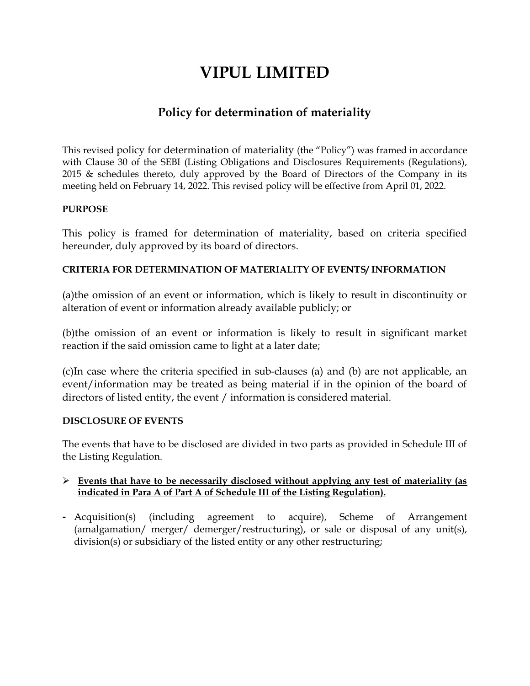# VIPUL LIMITED

# Policy for determination of materiality

This revised policy for determination of materiality (the "Policy") was framed in accordance with Clause 30 of the SEBI (Listing Obligations and Disclosures Requirements (Regulations), 2015 & schedules thereto, duly approved by the Board of Directors of the Company in its meeting held on February 14, 2022. This revised policy will be effective from April 01, 2022.

#### PURPOSE

This policy is framed for determination of materiality, based on criteria specified hereunder, duly approved by its board of directors.

## CRITERIA FOR DETERMINATION OF MATERIALITY OF EVENTS/ INFORMATION

(a)the omission of an event or information, which is likely to result in discontinuity or alteration of event or information already available publicly; or

(b)the omission of an event or information is likely to result in significant market reaction if the said omission came to light at a later date;

(c)In case where the criteria specified in sub-clauses (a) and (b) are not applicable, an event/information may be treated as being material if in the opinion of the board of directors of listed entity, the event / information is considered material.

#### DISCLOSURE OF EVENTS

The events that have to be disclosed are divided in two parts as provided in Schedule III of the Listing Regulation.

#### $\triangleright$  Events that have to be necessarily disclosed without applying any test of materiality (as indicated in Para A of Part A of Schedule III of the Listing Regulation).

- Acquisition(s) (including agreement to acquire), Scheme of Arrangement (amalgamation/ merger/ demerger/restructuring), or sale or disposal of any unit(s), division(s) or subsidiary of the listed entity or any other restructuring;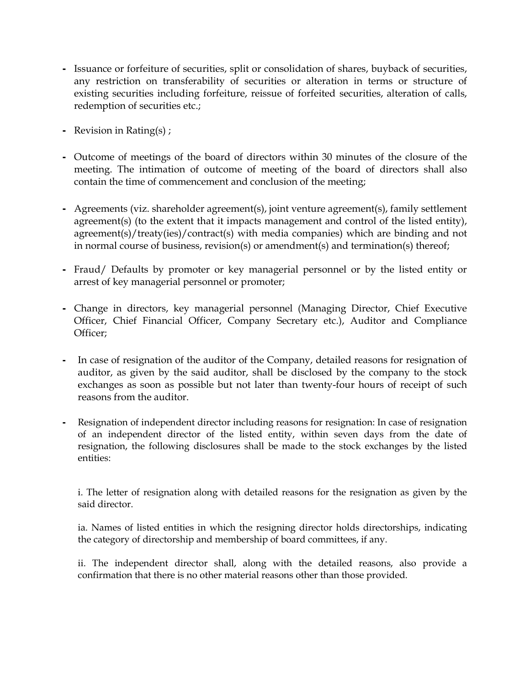- Issuance or forfeiture of securities, split or consolidation of shares, buyback of securities, any restriction on transferability of securities or alteration in terms or structure of existing securities including forfeiture, reissue of forfeited securities, alteration of calls, redemption of securities etc.;
- Revision in Rating(s) ;
- Outcome of meetings of the board of directors within 30 minutes of the closure of the meeting. The intimation of outcome of meeting of the board of directors shall also contain the time of commencement and conclusion of the meeting;
- Agreements (viz. shareholder agreement(s), joint venture agreement(s), family settlement agreement(s) (to the extent that it impacts management and control of the listed entity), agreement(s)/treaty(ies)/contract(s) with media companies) which are binding and not in normal course of business, revision(s) or amendment(s) and termination(s) thereof;
- Fraud/ Defaults by promoter or key managerial personnel or by the listed entity or arrest of key managerial personnel or promoter;
- Change in directors, key managerial personnel (Managing Director, Chief Executive Officer, Chief Financial Officer, Company Secretary etc.), Auditor and Compliance Officer;
- In case of resignation of the auditor of the Company, detailed reasons for resignation of auditor, as given by the said auditor, shall be disclosed by the company to the stock exchanges as soon as possible but not later than twenty-four hours of receipt of such reasons from the auditor.
- Resignation of independent director including reasons for resignation: In case of resignation of an independent director of the listed entity, within seven days from the date of resignation, the following disclosures shall be made to the stock exchanges by the listed entities:

i. The letter of resignation along with detailed reasons for the resignation as given by the said director.

ia. Names of listed entities in which the resigning director holds directorships, indicating the category of directorship and membership of board committees, if any.

ii. The independent director shall, along with the detailed reasons, also provide a confirmation that there is no other material reasons other than those provided.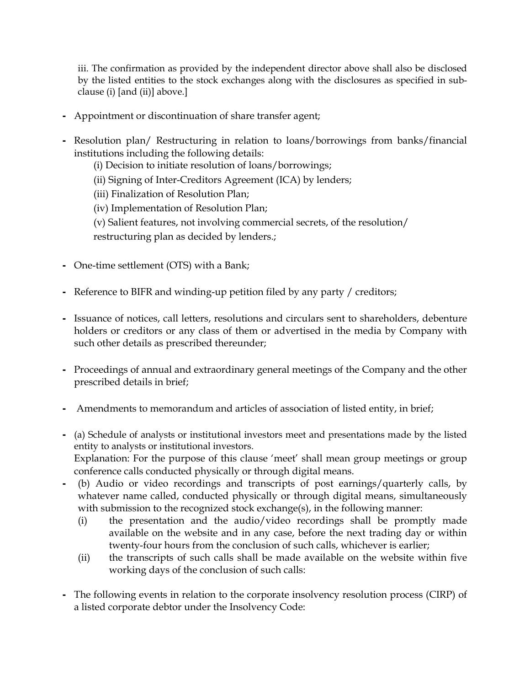iii. The confirmation as provided by the independent director above shall also be disclosed by the listed entities to the stock exchanges along with the disclosures as specified in subclause (i) [and (ii)] above.]

- Appointment or discontinuation of share transfer agent;
- Resolution plan/ Restructuring in relation to loans/borrowings from banks/financial institutions including the following details:
	- (i) Decision to initiate resolution of loans/borrowings;
	- (ii) Signing of Inter-Creditors Agreement (ICA) by lenders;

(iii) Finalization of Resolution Plan;

(iv) Implementation of Resolution Plan;

(v) Salient features, not involving commercial secrets, of the resolution/

restructuring plan as decided by lenders.;

- One-time settlement (OTS) with a Bank;
- Reference to BIFR and winding-up petition filed by any party / creditors;
- Issuance of notices, call letters, resolutions and circulars sent to shareholders, debenture holders or creditors or any class of them or advertised in the media by Company with such other details as prescribed thereunder;
- Proceedings of annual and extraordinary general meetings of the Company and the other prescribed details in brief;
- Amendments to memorandum and articles of association of listed entity, in brief;
- (a) Schedule of analysts or institutional investors meet and presentations made by the listed entity to analysts or institutional investors. Explanation: For the purpose of this clause 'meet' shall mean group meetings or group conference calls conducted physically or through digital means.
- (b) Audio or video recordings and transcripts of post earnings/quarterly calls, by whatever name called, conducted physically or through digital means, simultaneously with submission to the recognized stock exchange(s), in the following manner:
	- (i) the presentation and the audio/video recordings shall be promptly made available on the website and in any case, before the next trading day or within twenty-four hours from the conclusion of such calls, whichever is earlier;
	- (ii) the transcripts of such calls shall be made available on the website within five working days of the conclusion of such calls:
- The following events in relation to the corporate insolvency resolution process (CIRP) of a listed corporate debtor under the Insolvency Code: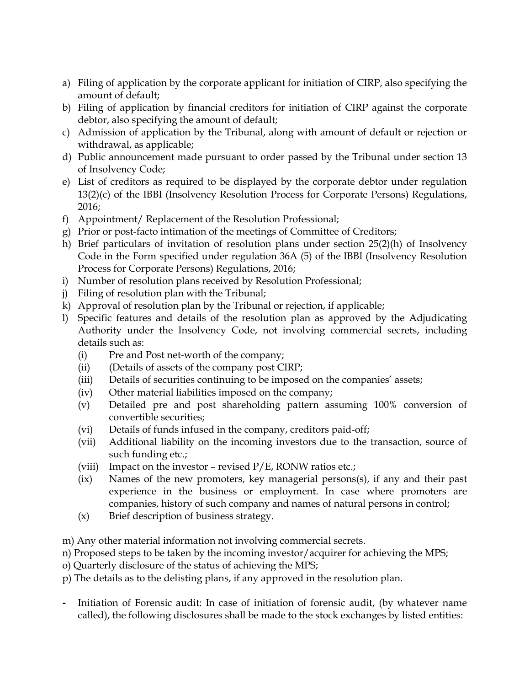- a) Filing of application by the corporate applicant for initiation of CIRP, also specifying the amount of default;
- b) Filing of application by financial creditors for initiation of CIRP against the corporate debtor, also specifying the amount of default;
- c) Admission of application by the Tribunal, along with amount of default or rejection or withdrawal, as applicable;
- d) Public announcement made pursuant to order passed by the Tribunal under section 13 of Insolvency Code;
- e) List of creditors as required to be displayed by the corporate debtor under regulation 13(2)(c) of the IBBI (Insolvency Resolution Process for Corporate Persons) Regulations, 2016;
- f) Appointment/ Replacement of the Resolution Professional;
- g) Prior or post-facto intimation of the meetings of Committee of Creditors;
- h) Brief particulars of invitation of resolution plans under section 25(2)(h) of Insolvency Code in the Form specified under regulation 36A (5) of the IBBI (Insolvency Resolution Process for Corporate Persons) Regulations, 2016;
- i) Number of resolution plans received by Resolution Professional;
- j) Filing of resolution plan with the Tribunal;
- k) Approval of resolution plan by the Tribunal or rejection, if applicable;
- l) Specific features and details of the resolution plan as approved by the Adjudicating Authority under the Insolvency Code, not involving commercial secrets, including details such as:
	- (i) Pre and Post net-worth of the company;
	- (ii) (Details of assets of the company post CIRP;
	- (iii) Details of securities continuing to be imposed on the companies' assets;
	- (iv) Other material liabilities imposed on the company;
	- (v) Detailed pre and post shareholding pattern assuming 100% conversion of convertible securities;
	- (vi) Details of funds infused in the company, creditors paid-off;
	- (vii) Additional liability on the incoming investors due to the transaction, source of such funding etc.;
	- (viii) Impact on the investor revised  $P/E$ , RONW ratios etc.;
	- (ix) Names of the new promoters, key managerial persons(s), if any and their past experience in the business or employment. In case where promoters are companies, history of such company and names of natural persons in control;
	- (x) Brief description of business strategy.

m) Any other material information not involving commercial secrets.

- n) Proposed steps to be taken by the incoming investor/acquirer for achieving the MPS;
- o) Quarterly disclosure of the status of achieving the MPS;
- p) The details as to the delisting plans, if any approved in the resolution plan.
- Initiation of Forensic audit: In case of initiation of forensic audit, (by whatever name called), the following disclosures shall be made to the stock exchanges by listed entities: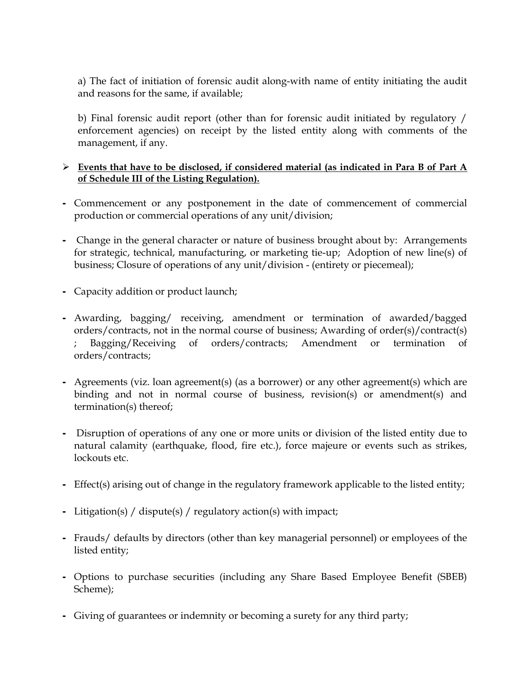a) The fact of initiation of forensic audit along-with name of entity initiating the audit and reasons for the same, if available;

b) Final forensic audit report (other than for forensic audit initiated by regulatory / enforcement agencies) on receipt by the listed entity along with comments of the management, if any.

#### $\triangleright$  Events that have to be disclosed, if considered material (as indicated in Para B of Part A of Schedule III of the Listing Regulation).

- Commencement or any postponement in the date of commencement of commercial production or commercial operations of any unit/division;
- Change in the general character or nature of business brought about by: Arrangements for strategic, technical, manufacturing, or marketing tie-up; Adoption of new line(s) of business; Closure of operations of any unit/division - (entirety or piecemeal);
- Capacity addition or product launch;
- Awarding, bagging/ receiving, amendment or termination of awarded/bagged orders/contracts, not in the normal course of business; Awarding of order(s)/contract(s) ; Bagging/Receiving of orders/contracts; Amendment or termination of orders/contracts;
- Agreements (viz. loan agreement(s) (as a borrower) or any other agreement(s) which are binding and not in normal course of business, revision(s) or amendment(s) and termination(s) thereof;
- Disruption of operations of any one or more units or division of the listed entity due to natural calamity (earthquake, flood, fire etc.), force majeure or events such as strikes, lockouts etc.
- Effect(s) arising out of change in the regulatory framework applicable to the listed entity;
- Litigation(s) / dispute(s) / regulatory action(s) with impact;
- Frauds/ defaults by directors (other than key managerial personnel) or employees of the listed entity;
- Options to purchase securities (including any Share Based Employee Benefit (SBEB) Scheme);
- Giving of guarantees or indemnity or becoming a surety for any third party;